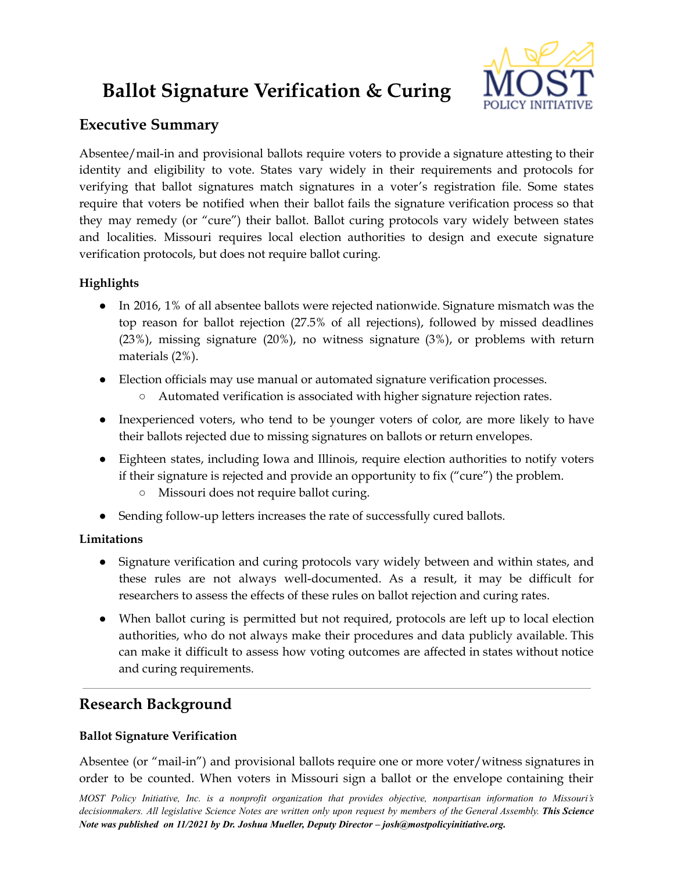# **Ballot Signature Verification & Curing**



# **Executive Summary**

Absentee/mail-in and provisional ballots require voters to provide a signature attesting to their identity and eligibility to vote. States vary widely in their requirements and protocols for verifying that ballot signatures match signatures in a voter's registration file. Some states require that voters be notified when their ballot fails the signature verification process so that they may remedy (or "cure") their ballot. Ballot curing protocols vary widely between states and localities. Missouri requires local election authorities to design and execute signature verification protocols, but does not require ballot curing.

## **Highlights**

- In 2016, 1% of all absentee ballots were rejected nationwide. Signature mismatch was the top reason for ballot rejection (27.5% of all rejections), followed by missed deadlines (23%), missing signature (20%), no witness signature (3%), or problems with return materials (2%).
- Election officials may use manual or automated signature verification processes.
	- Automated verification is associated with higher signature rejection rates.
- Inexperienced voters, who tend to be younger voters of color, are more likely to have their ballots rejected due to missing signatures on ballots or return envelopes.
- Eighteen states, including Iowa and Illinois, require election authorities to notify voters if their signature is rejected and provide an opportunity to fix ("cure") the problem.
	- Missouri does not require ballot curing.
- Sending follow-up letters increases the rate of successfully cured ballots.

## **Limitations**

- Signature verification and curing protocols vary widely between and within states, and these rules are not always well-documented. As a result, it may be difficult for researchers to assess the effects of these rules on ballot rejection and curing rates.
- When ballot curing is permitted but not required, protocols are left up to local election authorities, who do not always make their procedures and data publicly available. This can make it difficult to assess how voting outcomes are affected in states without notice and curing requirements.

# **Research Background**

## **Ballot Signature Verification**

Absentee (or "mail-in") and provisional ballots require one or more voter/witness signatures in order to be counted. When voters in Missouri sign a ballot or the envelope containing their

*MOST Policy Initiative, Inc. is a nonprofit organization that provides objective, nonpartisan information to Missouri's* decisionmakers. All legislative Science Notes are written only upon request by members of the General Assembly. This Science *Note was published on 11/2021 by Dr. Joshua Mueller, Deputy Director – josh@mostpolicyinitiative.org.*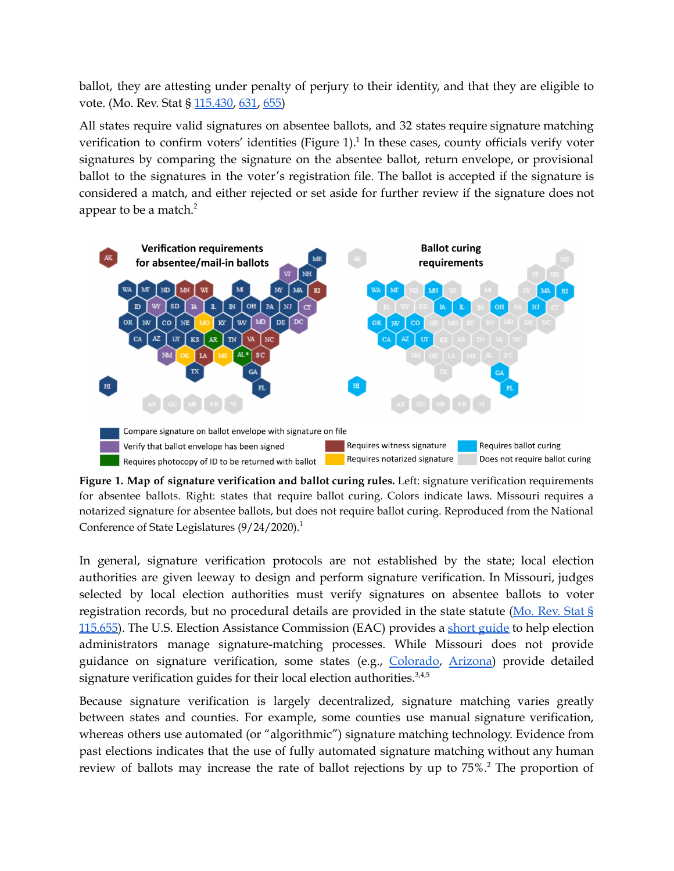ballot, they are attesting under penalty of perjury to their identity, and that they are eligible to vote. (Mo. Rev. Stat § [115.430,](https://revisor.mo.gov/main/OneSection.aspx?section=115.430) [631,](https://revisor.mo.gov/main/OneSection.aspx?section=115.631&bid=35787&hl=) [655\)](https://revisor.mo.gov/main/OneSection.aspx?section=115.655&bid=6266&hl=)

All states require valid signatures on absentee ballots, and 32 states require signature matching verification to confirm voters' identities (Figure 1).<sup>1</sup> In these cases, county officials verify voter signatures by comparing the signature on the absentee ballot, return envelope, or provisional ballot to the signatures in the voter's registration file. The ballot is accepted if the signature is considered a match, and either rejected or set aside for further review if the signature does not appear to be a match. 2



**Figure 1. Map of signature verification and ballot curing rules.** Left: signature verification requirements for absentee ballots. Right: states that require ballot curing. Colors indicate laws. Missouri requires a notarized signature for absentee ballots, but does not require ballot curing. Reproduced from the National Conference of State Legislatures (9/24/2020).<sup>1</sup>

In general, signature verification protocols are not established by the state; local election authorities are given leeway to design and perform signature verification. In Missouri, judges selected by local election authorities must verify signatures on absentee ballots to voter registration records, but no procedural details are provided in the state statute (Mo. [Rev.](https://revisor.mo.gov/main/OneSection.aspx?section=115.655&bid=6266&hl=) Stat § [115.655](https://revisor.mo.gov/main/OneSection.aspx?section=115.655&bid=6266&hl=)). The U.S. Election Assistance Commission (EAC) provides a short [guide](https://www.eac.gov/sites/default/files/electionofficials/vbm/Signature_Verification_Cure_Process.pdf) to help election administrators manage signature-matching processes. While Missouri does not provide guidance on signature verification, some states (e.g., [Colorado](https://www.sos.state.co.us/pubs/elections/docs/SignatureVerificationGuide.pdf), [Arizona](https://azsos.gov/sites/default/files/AZSOS_Signature_Verification_Guide.pdf)) provide detailed signature verification guides for their local election authorities.<sup>3,4,5</sup>

Because signature verification is largely decentralized, signature matching varies greatly between states and counties. For example, some counties use manual signature verification, whereas others use automated (or "algorithmic") signature matching technology. Evidence from past elections indicates that the use of fully automated signature matching without any human review of ballots may increase the rate of ballot rejections by up to 75%. <sup>2</sup> The proportion of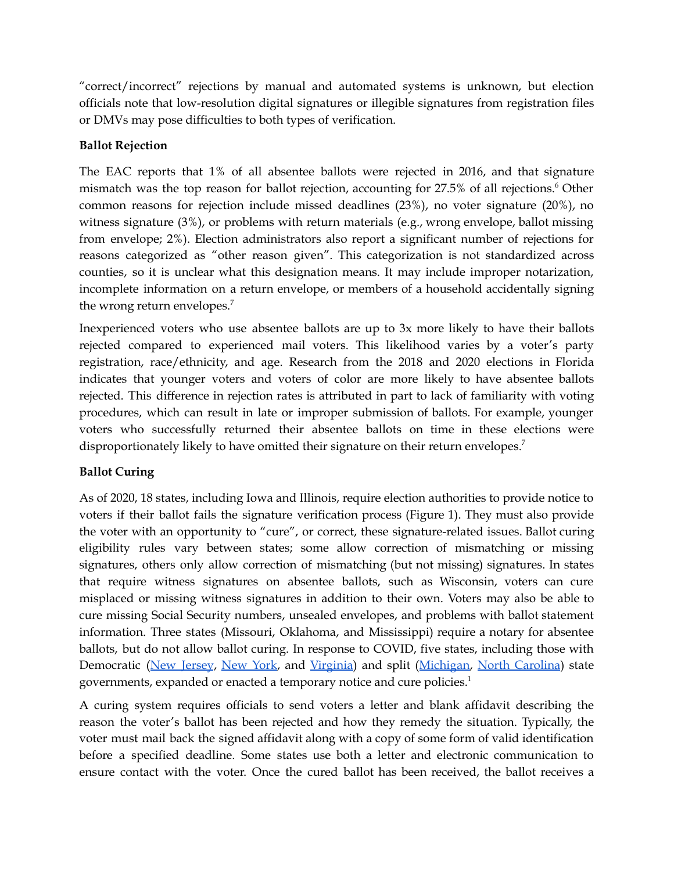"correct/incorrect" rejections by manual and automated systems is unknown, but election officials note that low-resolution digital signatures or illegible signatures from registration files or DMVs may pose difficulties to both types of verification.

#### **Ballot Rejection**

The EAC reports that 1% of all absentee ballots were rejected in 2016, and that signature mismatch was the top reason for ballot rejection, accounting for 27.5% of all rejections. <sup>6</sup> Other common reasons for rejection include missed deadlines (23%), no voter signature (20%), no witness signature (3%), or problems with return materials (e.g., wrong envelope, ballot missing from envelope; 2%). Election administrators also report a significant number of rejections for reasons categorized as "other reason given". This categorization is not standardized across counties, so it is unclear what this designation means. It may include improper notarization, incomplete information on a return envelope, or members of a household accidentally signing the wrong return envelopes. 7

Inexperienced voters who use absentee ballots are up to 3x more likely to have their ballots rejected compared to experienced mail voters. This likelihood varies by a voter's party registration, race/ethnicity, and age. Research from the 2018 and 2020 elections in Florida indicates that younger voters and voters of color are more likely to have absentee ballots rejected. This difference in rejection rates is attributed in part to lack of familiarity with voting procedures, which can result in late or improper submission of ballots. For example, younger voters who successfully returned their absentee ballots on time in these elections were disproportionately likely to have omitted their signature on their return envelopes.<sup>7</sup>

## **Ballot Curing**

As of 2020, 18 states, including Iowa and Illinois, require election authorities to provide notice to voters if their ballot fails the signature verification process (Figure 1). They must also provide the voter with an opportunity to "cure", or correct, these signature-related issues. Ballot curing eligibility rules vary between states; some allow correction of mismatching or missing signatures, others only allow correction of mismatching (but not missing) signatures. In states that require witness signatures on absentee ballots, such as Wisconsin, voters can cure misplaced or missing witness signatures in addition to their own. Voters may also be able to cure missing Social Security numbers, unsealed envelopes, and problems with ballot statement information. Three states (Missouri, Oklahoma, and Mississippi) require a notary for absentee ballots, but do not allow ballot curing. In response to COVID, five states, including those with Democratic (New [Jersey](https://nj.gov/state/elections/assets/pdf/publications/guide-nj-signature-verification-and-cure-10-02-20.pdf), [New](https://legislation.nysenate.gov/pdf/bills/2019/S8370B) York, and [Virginia\)](https://law.lis.virginia.gov/pdf/vacode/24.2-709.1/) and split ([Michigan,](http://www.legislature.mi.gov/documents/2019-2020/publicact/pdf/2020-PA-0177.pdf) North [Carolina](https://s3.amazonaws.com/dl.ncsbe.gov/sboe/numbermemo/2020/Numbered%20Memo%202020-19_Absentee%20Deficiencies.pdf)) state governments, expanded or enacted a temporary notice and cure policies.<sup>1</sup>

A curing system requires officials to send voters a letter and blank affidavit describing the reason the voter's ballot has been rejected and how they remedy the situation. Typically, the voter must mail back the signed affidavit along with a copy of some form of valid identification before a specified deadline. Some states use both a letter and electronic communication to ensure contact with the voter. Once the cured ballot has been received, the ballot receives a